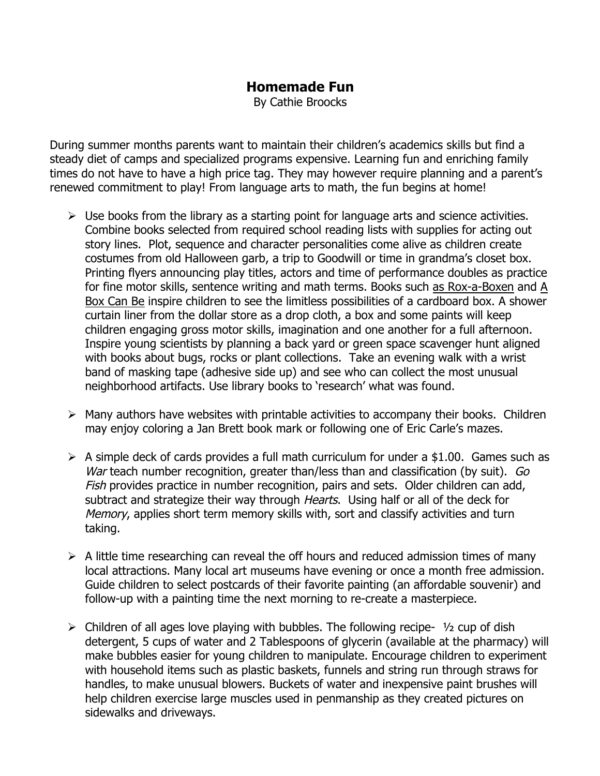## **Homemade Fun**

By Cathie Broocks

During summer months parents want to maintain their children's academics skills but find a steady diet of camps and specialized programs expensive. Learning fun and enriching family times do not have to have a high price tag. They may however require planning and a parent's renewed commitment to play! From language arts to math, the fun begins at home!

- $\triangleright$  Use books from the library as a starting point for language arts and science activities. Combine books selected from required school reading lists with supplies for acting out story lines. Plot, sequence and character personalities come alive as children create costumes from old Halloween garb, a trip to Goodwill or time in grandma's closet box. Printing flyers announcing play titles, actors and time of performance doubles as practice for fine motor skills, sentence writing and math terms. Books such as Rox-a-Boxen and A Box Can Be inspire children to see the limitless possibilities of a cardboard box. A shower curtain liner from the dollar store as a drop cloth, a box and some paints will keep children engaging gross motor skills, imagination and one another for a full afternoon. Inspire young scientists by planning a back yard or green space scavenger hunt aligned with books about bugs, rocks or plant collections. Take an evening walk with a wrist band of masking tape (adhesive side up) and see who can collect the most unusual neighborhood artifacts. Use library books to 'research' what was found.
- $\triangleright$  Many authors have websites with printable activities to accompany their books. Children may enjoy coloring a Jan Brett book mark or following one of Eric Carle's mazes.
- $\triangleright$  A simple deck of cards provides a full math curriculum for under a \$1.00. Games such as War teach number recognition, greater than/less than and classification (by suit). Go Fish provides practice in number recognition, pairs and sets. Older children can add, subtract and strategize their way through *Hearts*. Using half or all of the deck for Memory, applies short term memory skills with, sort and classify activities and turn taking.
- $\triangleright$  A little time researching can reveal the off hours and reduced admission times of many local attractions. Many local art museums have evening or once a month free admission. Guide children to select postcards of their favorite painting (an affordable souvenir) and follow-up with a painting time the next morning to re-create a masterpiece.
- $\triangleright$  Children of all ages love playing with bubbles. The following recipe-  $\frac{1}{2}$  cup of dish detergent, 5 cups of water and 2 Tablespoons of glycerin (available at the pharmacy) will make bubbles easier for young children to manipulate. Encourage children to experiment with household items such as plastic baskets, funnels and string run through straws for handles, to make unusual blowers. Buckets of water and inexpensive paint brushes will help children exercise large muscles used in penmanship as they created pictures on sidewalks and driveways.